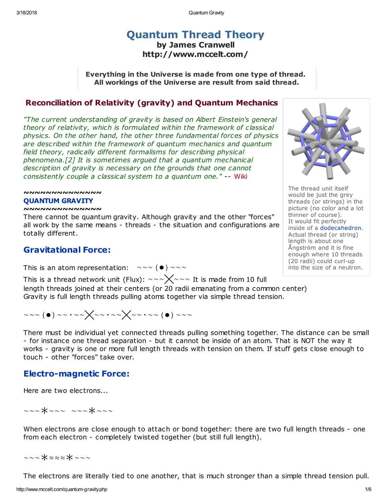# [Quantum](http://www.mccelt.com/fluxparticletheory.pdf) Thread Theory by James Cranwell

http://www.mccelt.com/

Everything in the Universe is made from one type of thread. All workings of the Universe are result from said thread.

## [Reconciliation](http://www.mccelt.com/quantum-gravity.pdf) of Relativity (gravity) and Quantum Mechanics

"The current understanding of gravity is based on Albert Einstein's general theory of relativity, which is formulated within the framework of classical physics. On the other hand, the other three fundamental forces of physics are described within the framework of quantum mechanics and quantum field theory, radically different formalisms for describing physical phenomena.[2] It is sometimes argued that a quantum mechanical description of gravity is necessary on the grounds that one cannot consistently couple a classical system to a quantum one." -- [Wiki](https://en.wikipedia.org/wiki/Quantum_gravity)

#### ~~~~~~~~~~~~ QUANTUM GRAVITY

#### ~~~~~~~~~~~~~~

There cannot be quantum gravity. Although gravity and the other "forces" all work by the same means - threads - the situation and configurations are totally different.

# Gravitational Force:

This is an atom representation:  $\sim \sim$  ( $\bullet$ )  $\sim \sim \sim$ 

This is a thread network unit (Flux):  $\sim \sim \sqrt{\sim} \sim$  It is made from 10 full length threads joined at their centers (or 20 radii emanating from a common center) Gravity is full length threads pulling atoms together via simple thread tension.

$$
\mathop{\sim} \mathop{\sim} \mathop{\sim} (\bullet) \mathop{\sim} \mathop{\sim} \mathop{\sim} \mathop{\sim} \mathop{\sim} \mathop{\sim} \mathop{\sim} \mathop{\sim} \mathop{\sim} \mathop{\sim} \mathop{\sim} \mathop{\sim} \mathop{\sim} \mathop{\sim} \mathop{\sim} \mathop{\sim} \mathop{\sim} \mathop{\sim} \mathop{\sim} \mathop{\sim} \mathop{\sim} \mathop{\sim} \mathop{\sim} \mathop{\sim} \mathop{\sim} \mathop{\sim} \mathop{\sim} \mathop{\sim} \mathop{\sim} \mathop{\sim} \mathop{\sim} \mathop{\sim} \mathop{\sim} \mathop{\sim} \mathop{\sim} \mathop{\sim} \mathop{\sim} \mathop{\sim} \mathop{\sim} \mathop{\sim} \mathop{\sim} \mathop{\sim} \mathop{\sim} \mathop{\sim} \mathop{\sim} \mathop{\sim} \mathop{\sim} \mathop{\sim} \mathop{\sim} \mathop{\sim} \mathop{\sim} \mathop{\sim} \mathop{\sim} \mathop{\sim} \mathop{\sim} \mathop{\sim} \mathop{\sim} \mathop{\sim} \mathop{\sim} \mathop{\sim} \mathop{\sim} \mathop{\sim} \mathop{\sim} \mathop{\sim} \mathop{\sim} \mathop{\sim} \mathop{\sim} \mathop{\sim} \mathop{\sim} \mathop{\sim} \mathop{\sim} \mathop{\sim} \mathop{\sim} \mathop{\sim} \mathop{\sim} \mathop{\sim} \mathop{\sim} \mathop{\sim} \mathop{\sim} \mathop{\sim} \mathop{\sim} \mathop{\sim} \mathop{\sim} \mathop{\sim} \mathop{\sim} \mathop{\sim} \mathop{\sim} \mathop{\sim} \mathop{\sim} \mathop{\sim} \mathop{\sim} \mathop{\sim} \mathop{\sim} \mathop{\sim} \mathop{\sim} \mathop{\sim} \mathop{\sim} \mathop{\sim} \mathop{\sim} \mathop{\sim} \mathop{\sim} \mathop{\sim} \mathop{\sim} \mathop{\sim} \mathop{\sim} \mathop{\sim} \mathop{\sim} \mathop{\sim} \mathop{\sim} \mathop{\sim} \mathop{\sim} \mathop{\sim} \mathop{\sim} \mathop{\sim} \mathop{\sim} \mathop{\sim} \mathop{\sim} \mathop{\sim} \mathop{\sim} \mathop{\sim} \mathop{\sim} \mathop{\sim} \mathop{\sim} \
$$

There must be individual yet connected threads pulling something together. The distance can be small - for instance one thread separation - but it cannot be inside of an atom. That is NOT the way it works - gravity is one or more full length threads with tension on them. If stuff gets close enough to touch - other "forces" take over.

## Electro-magnetic Force:

Here are two electrons...

~~~\*~~~ ~~~\*~~~

When electrons are close enough to attach or bond together: there are two full length threads - one from each electron - completely twisted together (but still full length).

~~~∗≈≈≈∗~~~

The electrons are literally tied to one another, that is much stronger than a simple thread tension pull.



The thread unit itself would be just the grey threads (or strings) in the picture (no color and a lot thinner of course). It would fit perfectly inside of a [dodecahedron](http://www.mccelt.com/dodecahedral_honeycomb.png). Actual thread (or string) length is about one Ångström and it is fine enough where 10 threads (20 radii) could curl-up into the size of a neutron.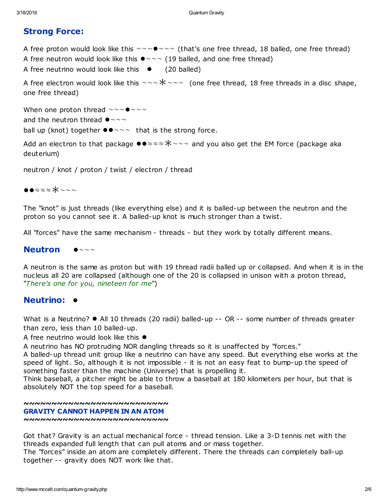# Strong Force:

A free proton would look like this  $\sim \sim \bullet \sim \sim$  (that's one free thread, 18 balled, one free thread) A free neutron would look like this  $\bullet \sim \sim$  (19 balled, and one free thread) A free neutrino would look like this  $\bullet$  (20 balled)

A free electron would look like this  $\sim \sim \times \times \sim \sim$  (one free thread, 18 free threads in a disc shape, one free thread)

When one proton thread  $\sim \sim 0$   $\sim \sim \sim$ and the neutron thread  $\bullet \sim \sim \sim$ ball up (knot) together  $\bullet \bullet \sim \sim \bullet$  that is the strong force.

Add an electron to that package  $\bullet \bullet \times \times \times \times \times \times \times \times$  and you also get the EM force (package aka deuterium)

neutron / knot / proton / twist / electron / thread

●●≈≈≈∗~~~

The "knot" is just threads (like everything else) and it is balled-up between the neutron and the proton so you cannot see it. A balled-up knot is much stronger than a twist.

All "forces" have the same mechanism - threads - but they work by totally different means.

## Neutron  $\bullet$ ~~~

A neutron is the same as proton but with 19 thread radii balled up or collapsed. And when it is in the nucleus all 20 are collapsed (although one of the 20 is collapsed in unison with a proton thread, "There's one for you, nineteen for me")

## Neutrino: ●

What is a Neutrino? ● All 10 threads (20 radii) balled-up -- OR -- some number of threads greater than zero, less than 10 balled-up.

A free neutrino would look like this ●

A neutrino has NO protruding NOR dangling threads so it is unaffected by "forces."

A balled-up thread unit group like a neutrino can have any speed. But everything else works at the speed of light. So, although it is not impossible - it is not an easy feat to bump-up the speed of something faster than the machine (Universe) that is propelling it.

Think baseball, a pitcher might be able to throw a baseball at 180 kilometers per hour, but that is absolutely NOT the top speed for a baseball.

~~~~~~~~~~~~~~~~~~~~~~~~~~

#### GRAVITY CANNOT HAPPEN IN AN ATOM

~~~~~~~~~~~~~~~~~~~~~~~~~~~~~~

Got that? Gravity is an actual mechanical force - thread tension. Like a 3-D tennis net with the threads expanded full length that can pull atoms and or mass together.

The "forces" inside an atom are completely different. There the threads can completely ball-up together -- gravity does NOT work like that.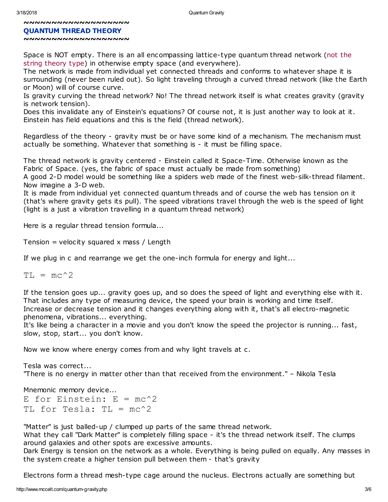#### QUANTUM THREAD THEORY

#### ~~~~~~~~~~~~~~~~~~~

Space is NOT empty. There is an all encompassing lattice-type quantum thread network (not the string theory type) in otherwise empty space (and everywhere).

The network is made from individual yet connected threads and conforms to whatever shape it is surrounding (never been ruled out). So light traveling through a curved thread network (like the Earth or Moon) will of course curve.

Is gravity curving the thread network? No! The thread network itself is what creates gravity (gravity is network tension).

Does this invalidate any of Einstein's equations? Of course not, it is just another way to look at it. Einstein has field equations and this is the field (thread network).

Regardless of the theory - gravity must be or have some kind of a mechanism. The mechanism must actually be something. Whatever that something is - it must be filling space.

The thread network is gravity centered - Einstein called it Space-Time. Otherwise known as the Fabric of Space. (yes, the fabric of space must actually be made from something)

A good 2-D model would be something like a spiders web made of the finest web-silk-thread filament. Now imagine a 3-D web.

It is made from individual yet connected quantum threads and of course the web has tension on it (that's where gravity gets its pull). The speed vibrations travel through the web is the speed of light (light is a just a vibration travelling in a quantum thread network)

Here is a regular thread tension formula...

Tension = velocity squared x mass / Length

If we plug in c and rearrange we get the one-inch formula for energy and light...

 $TI<sub>1</sub> = mc^2$ 

If the tension goes up... gravity goes up, and so does the speed of light and everything else with it. That includes any type of measuring device, the speed your brain is working and time itself. Increase or decrease tension and it changes everything along with it, that's all electro-magnetic phenomena, vibrations... everything.

It's like being a character in a movie and you don't know the speed the projector is running... fast, slow, stop, start... you don't know.

Now we know where energy comes from and why light travels at c.

Tesla was correct... "There is no energy in matter other than that received from the environment." – Nikola Tesla

Mnemonic memory device... E for Einstein:  $E = mc^2$ TL for Tesla: TL =  $mc^2$ 

"Matter" is just balled-up / clumped up parts of the same thread network.

What they call "Dark Matter" is completely filling space - it's the thread network itself. The clumps around galaxies and other spots are excessive amounts.

Dark Energy is tension on the network as a whole. Everything is being pulled on equally. Any masses in the system create a higher tension pull between them - that's gravity

Electrons form a thread mesh-type cage around the nucleus. Electrons actually are something but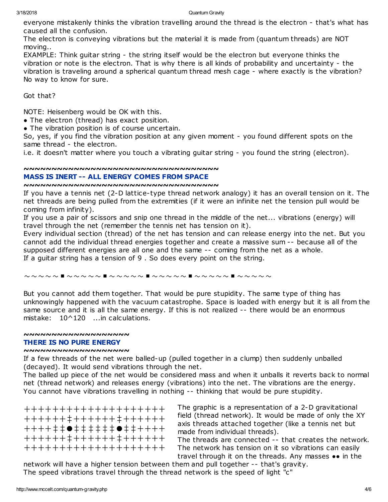everyone mistakenly thinks the vibration travelling around the thread is the electron - that's what has caused all the confusion.

The electron is conveying vibrations but the material it is made from (quantum threads) are NOT moving..

EXAMPLE: Think guitar string - the string itself would be the electron but everyone thinks the vibration or note is the electron. That is why there is all kinds of probability and uncertainty - the vibration is traveling around a spherical quantum thread mesh cage - where exactly is the vibration? No way to know for sure.

## Got that?

NOTE: Heisenberg would be OK with this.

- The electron (thread) has exact position.
- The vibration position is of course uncertain.

So, yes, if you find the vibration position at any given moment - you found different spots on the same thread - the electron.

i.e. it doesn't matter where you touch a vibrating guitar string - you found the string (electron).

### ~~~~~~~~~~~~~~~~~~~~~~~~~~~~~~~~~~~

### MASS IS INERT -- ALL ENERGY COMES FROM SPACE

### ~~~~~~~~~~~~~~~~~~~~~~~~~~~~~~~~~~~

If you have a tennis net (2-D lattice-type thread network analogy) it has an overall tension on it. The net threads are being pulled from the extremities (if it were an infinite net the tension pull would be coming from infinity).

If you use a pair of scissors and snip one thread in the middle of the net... vibrations (energy) will travel through the net (remember the tennis net has tension on it).

Every individual section (thread) of the net has tension and can release energy into the net. But you cannot add the individual thread energies together and create a massive sum -- because all of the supposed different energies are all one and the same -- coming from the net as a whole. If a guitar string has a tension of 9 . So does every point on the string.

#### ~~~~~■~~~~~■~~~~~■~~~~~■~~~~~■~~~~~

But you cannot add them together. That would be pure stupidity. The same type of thing has unknowingly happened with the vacuum catastrophe. Space is loaded with energy but it is all from the same source and it is all the same energy. If this is not realized -- there would be an enormous mistake: 10^120 ...in calculations.

### ~~~~~~~~~~~~~~~~~~~

### THERE IS NO PURE ENERGY

### ~~~~~~~~~~~~~~~~~~~

If a few threads of the net were balled-up (pulled together in a clump) then suddenly unballed (decayed). It would send vibrations through the net.

The balled up piece of the net would be considered mass and when it unballs it reverts back to normal net (thread network) and releases energy (vibrations) into the net. The vibrations are the energy. You cannot have vibrations travelling in nothing -- thinking that would be pure stupidity.

++++++++++++++++++++ ++++++‡++++++‡++++++ ++++‡‡●‡‡‡‡‡‡●‡‡++++ ++++++‡++++++‡++++++ ++++++++++++++++++++

The graphic is a representation of a 2-D gravitational field (thread network). It would be made of only the XY axis threads attached together (like a tennis net but made from individual threads).

The threads are connected -- that creates the network. The network has tension on it so vibrations can easily travel through it on the threads. Any masses •• in the

network will have a higher tension between them and pull together -- that's gravity. The speed vibrations travel through the thread network is the speed of light "c"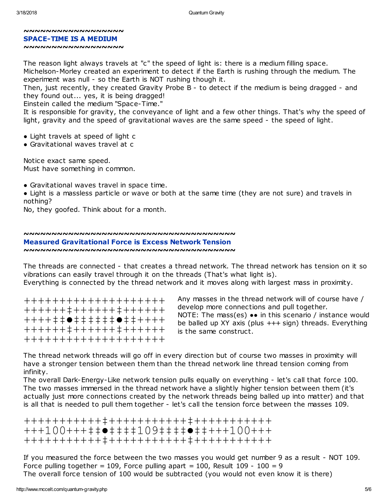#### ~~~~~~~~~~~~~~~~~~ SPACE-TIME IS A MEDIUM ~~~~~~~~~~~~~~~~~~

The reason light always travels at "c" the speed of light is: there is a medium filling space. Michelson-Morley created an experiment to detect if the Earth is rushing through the medium. The experiment was null - so the Earth is NOT rushing though it.

Then, just recently, they created Gravity Probe B - to detect if the medium is being dragged - and they found out... yes, it is being dragged!

Einstein called the medium "Space-Time."

It is responsible for gravity, the conveyance of light and a few other things. That's why the speed of light, gravity and the speed of gravitational waves are the same speed - the speed of light.

- Light travels at speed of light c
- Gravitational waves travel at c

Notice exact same speed. Must have something in common.

• Gravitational waves travel in space time.

● Light is a massless particle or wave or both at the same time (they are not sure) and travels in nothing?

No, they goofed. Think about for a month.

# ~~~~~~~~~~~~~~~~~~~~~~~~~~~~~~~~~~~~~~

## Measured Gravitational Force is Excess Network Tension

~~~~~~~~~~~~~~~~~~~~~~~~~~~~~~~~~~~~~~

The threads are connected - that creates a thread network. The thread network has tension on it so vibrations can easily travel through it on the threads (That's what light is). Everything is connected by the thread network and it moves along with largest mass in proximity.

++++++++++++++++++++ ++++++‡++++++‡++++++ ++++‡‡●‡‡‡‡‡‡●‡‡++++ ++++++‡++++++‡++++++ ++++++++++++++++++++

Any masses in the thread network will of course have / develop more connections and pull together. NOTE: The mass(es) •• in this scenario / instance would be balled up XY axis (plus +++ sign) threads. Everything is the same construct.

The thread network threads will go off in every direction but of course two masses in proximity will have a stronger tension between them than the thread network line thread tension coming from infinity.

The overall Dark-Energy-Like network tension pulls equally on everything - let's call that force 100. The two masses immersed in the thread network have a slightly higher tension between them (it's actually just more connections created by the network threads being balled up into matter) and that is all that is needed to pull them together - let's call the tension force between the masses 109.

+++++++++++‡+++++++++++‡+++++++++++ +++100+++‡‡●‡‡‡‡109‡‡‡‡●‡‡+++100+++ +++++++++++‡+++++++++++‡+++++++++++

If you measured the force between the two masses you would get number 9 as a result - NOT 109. Force pulling together = 109, Force pulling apart = 100, Result 109 - 100 = 9 The overall force tension of 100 would be subtracted (you would not even know it is there)